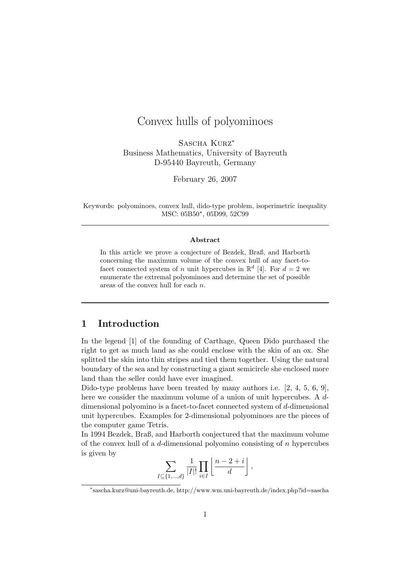# Convex hulls of polyominoes

SASCHA KURZ<sup>\*</sup> Business Mathematics, University of Bayreuth D-95440 Bayreuth, Germany

February 26, 2007

Keywords: polyominoes, convex hull, dido-type problem, isoperimetric inequality MSC: 05B50\*, 05D99, 52C99

#### Abstract

In this article we prove a conjecture of Bezdek, Braß, and Harborth concerning the maximum volume of the convex hull of any facet-tofacet connected system of n unit hypercubes in  $\mathbb{R}^d$  [4]. For  $d = 2$  we enumerate the extremal polyominoes and determine the set of possible areas of the convex hull for each n.

## 1 Introduction

In the legend [1] of the founding of Carthage, Queen Dido purchased the right to get as much land as she could enclose with the skin of an ox. She splitted the skin into thin stripes and tied them together. Using the natural boundary of the sea and by constructing a giant semicircle she enclosed more land than the seller could have ever imagined.

Dido-type problems have been treated by many authors i.e. [2, 4, 5, 6, 9], here we consider the maximum volume of a union of unit hypercubes. A ddimensional polyomino is a facet-to-facet connected system of d-dimensional unit hypercubes. Examples for 2-dimensional polyominoes are the pieces of the computer game Tetris.

In 1994 Bezdek, Braß, and Harborth conjectured that the maximum volume of the convex hull of a  $d$ -dimensional polyomino consisting of  $n$  hypercubes is given by

$$
\sum_{I \subseteq \{1,\ldots,d\}} \frac{1}{|I|!} \prod_{i \in I} \left\lfloor \frac{n-2+i}{d} \right\rfloor,
$$

<sup>∗</sup> sascha.kurz@uni-bayreuth.de, http://www.wm.uni-bayreuth.de/index.php?id=sascha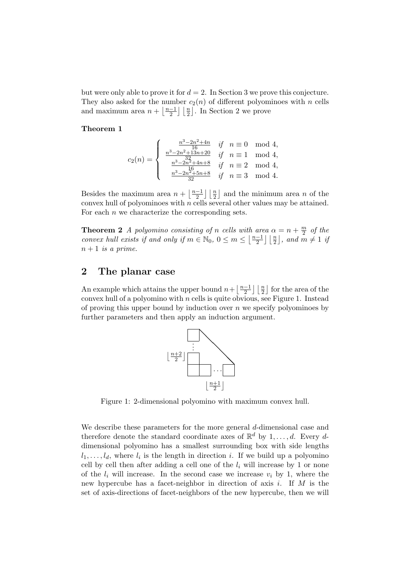but were only able to prove it for  $d = 2$ . In Section 3 we prove this conjecture. They also asked for the number  $c_2(n)$  of different polyominoes with n cells and maximum area  $n + \frac{n-1}{2}$  $\frac{-1}{2}$   $\lfloor \frac{n}{2} \rfloor$ . In Section 2 we prove

#### Theorem 1

$$
c_2(n) = \begin{cases} \frac{n^3 - 2n^2 + 4n}{16} & \text{if } n \equiv 0 \mod 4, \\ \frac{n^3 - 2n^2 + 13n + 20}{16} & \text{if } n \equiv 1 \mod 4, \\ \frac{n^3 - 2n^2 + 4n + 8}{16} & \text{if } n \equiv 2 \mod 4, \\ \frac{n^3 - 2n^2 + 5n + 8}{32} & \text{if } n \equiv 3 \mod 4. \end{cases}
$$

Besides the maximum area  $n + \frac{n-1}{2}$  $\frac{-1}{2}$   $\lfloor \frac{n}{2} \rfloor$  and the minimum area *n* of the convex hull of polyominoes with  $n$  cells several other values may be attained. For each  $n$  we characterize the corresponding sets.

**Theorem 2** A polyomino consisting of n cells with area  $\alpha = n + \frac{m}{2}$  $\frac{m}{2}$  of the convex hull exists if and only if  $m \in \mathbb{N}_0$ ,  $0 \leq m \leq \left\lfloor \frac{n-1}{2} \right\rfloor$  $\left[\frac{-1}{2}\right] \left[\frac{n}{2}\right]$ , and  $\overline{m} \neq 1$  if  $n+1$  is a prime.

## 2 The planar case

An example which attains the upper bound  $n + \frac{n-1}{2}$  $\frac{-1}{2}$   $\lfloor \frac{n}{2} \rfloor$  for the area of the convex hull of a polyomino with  $n$  cells is quite obvious, see Figure 1. Instead of proving this upper bound by induction over  $n$  we specify polyominoes by further parameters and then apply an induction argument.



Figure 1: 2-dimensional polyomino with maximum convex hull.

We describe these parameters for the more general d-dimensional case and therefore denote the standard coordinate axes of  $\mathbb{R}^d$  by  $1, \ldots, d$ . Every ddimensional polyomino has a smallest surrounding box with side lengths  $l_1, \ldots, l_d$ , where  $l_i$  is the length in direction i. If we build up a polyomino cell by cell then after adding a cell one of the  $l_i$  will increase by 1 or none of the  $l_i$  will increase. In the second case we increase  $v_i$  by 1, where the new hypercube has a facet-neighbor in direction of axis  $i$ . If  $M$  is the set of axis-directions of facet-neighbors of the new hypercube, then we will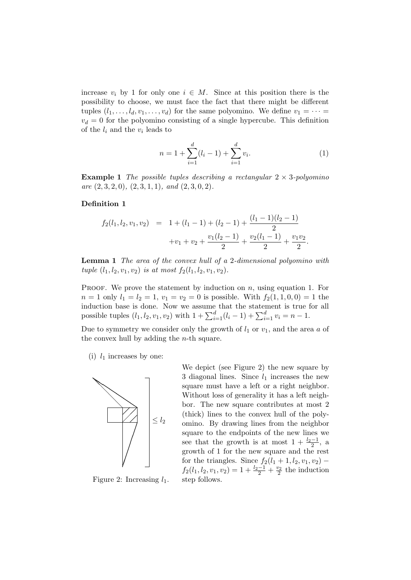increase  $v_i$  by 1 for only one  $i \in M$ . Since at this position there is the possibility to choose, we must face the fact that there might be different tuples  $(l_1, \ldots, l_d, v_1, \ldots, v_d)$  for the same polyomino. We define  $v_1 = \cdots =$  $v_d = 0$  for the polyomino consisting of a single hypercube. This definition of the  $l_i$  and the  $v_i$  leads to

$$
n = 1 + \sum_{i=1}^{d} (l_i - 1) + \sum_{i=1}^{d} v_i.
$$
 (1)

**Example 1** The possible tuples describing a rectangular  $2 \times 3$ -polyomino are  $(2, 3, 2, 0), (2, 3, 1, 1),$  and  $(2, 3, 0, 2).$ 

#### Definition 1

$$
f_2(l_1, l_2, v_1, v_2) = 1 + (l_1 - 1) + (l_2 - 1) + \frac{(l_1 - 1)(l_2 - 1)}{2} + v_1 + v_2 + \frac{v_1(l_2 - 1)}{2} + \frac{v_2(l_1 - 1)}{2} + \frac{v_1v_2}{2}.
$$

Lemma 1 The area of the convex hull of a 2-dimensional polyomino with tuple  $(l_1, l_2, v_1, v_2)$  is at most  $f_2(l_1, l_2, v_1, v_2)$ .

PROOF. We prove the statement by induction on  $n$ , using equation 1. For  $n = 1$  only  $l_1 = l_2 = 1$ ,  $v_1 = v_2 = 0$  is possible. With  $f_2(1, 1, 0, 0) = 1$  the induction base is done. Now we assume that the statement is true for all possible tuples  $(l_1, l_2, v_1, v_2)$  with  $1 + \sum_{i=1}^{d} (l_i - 1) + \sum_{i=1}^{d} v_i = n - 1$ .

Due to symmetry we consider only the growth of  $l_1$  or  $v_1$ , and the area a of the convex hull by adding the n-th square.

(i)  $l_1$  increases by one:



We depict (see Figure 2) the new square by 3 diagonal lines. Since  $l_1$  increases the new square must have a left or a right neighbor. Without loss of generality it has a left neighbor. The new square contributes at most 2 (thick) lines to the convex hull of the polyomino. By drawing lines from the neighbor square to the endpoints of the new lines we see that the growth is at most  $1 + \frac{l_2 - 1}{2}$ , a growth of 1 for the new square and the rest for the triangles. Since  $f_2(l_1+1, l_2, v_1, v_2)$  –  $f_2(l_1, l_2, v_1, v_2) = 1 + \frac{l_2 - 1}{2} + \frac{v_2}{2}$  the induction step follows.

Figure 2: Increasing  $l_1$ .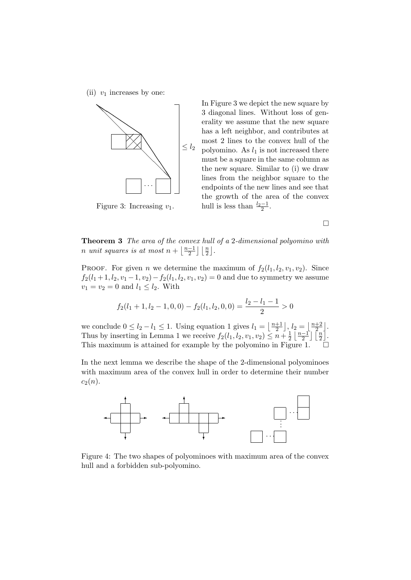(ii)  $v_1$  increases by one:



In Figure 3 we depict the new square by 3 diagonal lines. Without loss of generality we assume that the new square has a left neighbor, and contributes at most 2 lines to the convex hull of the polyomino. As  $l_1$  is not increased there must be a square in the same column as the new square. Similar to (i) we draw lines from the neighbor square to the endpoints of the new lines and see that the growth of the area of the convex hull is less than  $\frac{l_2-1}{2}$ .

Figure 3: Increasing  $v_1$ .

 $\Box$ 

Theorem 3 The area of the convex hull of a 2-dimensional polyomino with n unit squares is at most  $n + \frac{n-1}{2}$  $\frac{-1}{2}$   $\lfloor \frac{n}{2} \rfloor$ .

PROOF. For given *n* we determine the maximum of  $f_2(l_1, l_2, v_1, v_2)$ . Since  $f_2(l_1+1, l_2, v_1-1, v_2)-f_2(l_1, l_2, v_1, v_2)=0$  and due to symmetry we assume  $v_1 = v_2 = 0$  and  $l_1 \leq l_2$ . With

$$
f_2(l_1+1, l_2-1, 0, 0) - f_2(l_1, l_2, 0, 0) = \frac{l_2 - l_1 - 1}{2} > 0
$$

we conclude  $0 \leq l_2 - l_1 \leq 1$ . Using equation 1 gives  $l_1 = \left\lfloor \frac{n+1}{2} \right\rfloor$  $\left\lfloor\frac{+1}{2}\right\rfloor, l_2 = \left\lfloor\frac{n+2}{2}\right\rfloor$  $\frac{+2}{2}$ . Thus by inserting in Lemma 1 we receive  $f_2(l_1, l_2, v_1, v_2) \leq n + \frac{1}{2}$  $rac{1}{2} \left\lfloor \frac{n-1}{2} \right\rfloor$  $\frac{-1}{2}$ ]  $\left[\frac{n}{2}\right]$ . This maximum is attained for example by the polyomino in Figure 1.

In the next lemma we describe the shape of the 2-dimensional polyominoes with maximum area of the convex hull in order to determine their number  $c_2(n)$ .



Figure 4: The two shapes of polyominoes with maximum area of the convex hull and a forbidden sub-polyomino.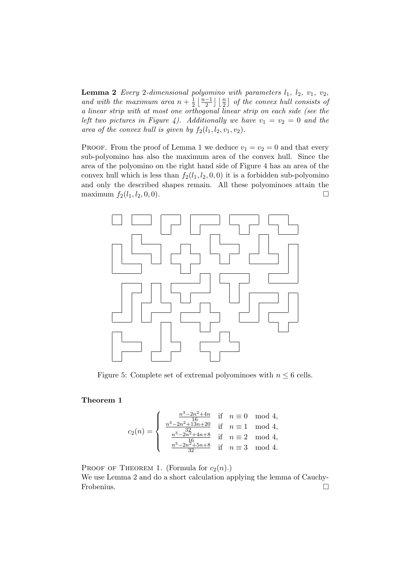**Lemma 2** Every 2-dimensional polyomino with parameters  $l_1$ ,  $l_2$ ,  $v_1$ ,  $v_2$ , and with the maximum area  $n + \frac{1}{2}$  $rac{1}{2}$  $rac{n-1}{2}$  $\frac{-1}{2}$   $\lfloor \frac{n}{2} \rfloor$  of the convex hull consists of a linear strip with at most one orthogonal linear strip on each side (see the left two pictures in Figure 4). Additionally we have  $v_1 = v_2 = 0$  and the area of the convex hull is given by  $f_2(l_1, l_2, v_1, v_2)$ .

PROOF. From the proof of Lemma 1 we deduce  $v_1 = v_2 = 0$  and that every sub-polyomino has also the maximum area of the convex hull. Since the area of the polyomino on the right hand side of Figure 4 has an area of the convex hull which is less than  $f_2(l_1, l_2, 0, 0)$  it is a forbidden sub-polyomino and only the described shapes remain. All these polyominoes attain the maximum  $f_2(l_1, l_2, 0, 0)$ .



Figure 5: Complete set of extremal polyominoes with  $n \leq 6$  cells.

#### Theorem 1

$$
c_2(n) = \left\{ \begin{array}{ccl} \frac{n^3 - 2n^2 + 4n}{16} & \mbox{if} & n \equiv 0 \mod 4, \\ \frac{n^3 - 2n^2 + 13n + 20}{16} & \mbox{if} & n \equiv 1 \mod 4, \\ \frac{n^3 - 2n^2 + 4n + 8}{16} & \mbox{if} & n \equiv 2 \mod 4, \\ \frac{n^3 - 2n^2 + 5n + 8}{32} & \mbox{if} & n \equiv 3 \mod 4. \end{array} \right.
$$

PROOF OF THEOREM 1. (Formula for  $c_2(n)$ .) We use Lemma 2 and do a short calculation applying the lemma of Cauchy-

Frobenius.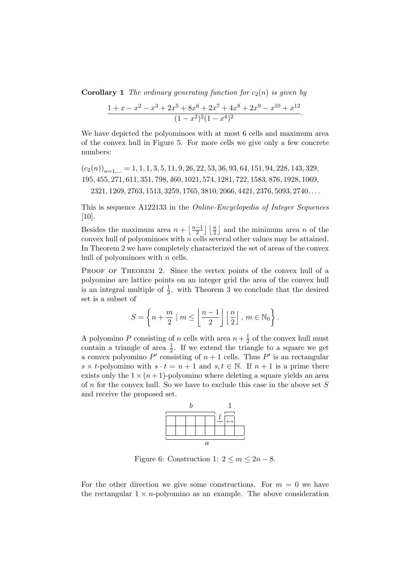**Corollary 1** The ordinary generating function for  $c_2(n)$  is given by

$$
\frac{1+x-x^2-x^3+2x^5+8x^6+2x^7+4x^8+2x^9-x^{10}+x^{12}}{(1-x^2)^2(1-x^4)^2}.
$$

We have depicted the polyominoes with at most 6 cells and maximum area of the convex hull in Figure 5. For more cells we give only a few concrete numbers:

$$
(c_2(n))_{n=1,\dots} = 1, 1, 1, 3, 5, 11, 9, 26, 22, 53, 36, 93, 64, 151, 94, 228, 143, 329,
$$
  
195, 455, 271, 611, 351, 798, 460, 1021, 574, 1281, 722, 1583, 876, 1928, 1069,  
2321, 1269, 2763, 1513, 3259, 1765, 3810, 2066, 4421, 2376, 5093, 2740, ...

This is sequence A122133 in the Online-Encyclopedia of Integer Sequences  $[10]$ .

Besides the maximum area  $n + \frac{n-1}{2}$  $\frac{-1}{2}$   $\lfloor \frac{n}{2} \rfloor$  and the minimum area *n* of the convex hull of polyominoes with  $n$  cells several other values may be attained. In Theorem 2 we have completely characterized the set of areas of the convex hull of polyominoes with  $n$  cells.

PROOF OF THEOREM 2. Since the vertex points of the convex hull of a polyomino are lattice points on an integer grid the area of the convex hull is an integral multiple of  $\frac{1}{2}$ . with Theorem 3 we conclude that the desired set is a subset of

$$
S = \left\{ n + \frac{m}{2} \mid m \le \left\lfloor \frac{n-1}{2} \right\rfloor \left\lfloor \frac{n}{2} \right\rfloor, m \in \mathbb{N}_0 \right\}.
$$

A polyomino P consisting of n cells with area  $n + \frac{1}{2}$  $\frac{1}{2}$  of the convex hull must contain a triangle of area  $\frac{1}{2}$ . If we extend the triangle to a square we get a convex polyomino P' consisting of  $n+1$  cells. Thus P' is an rectangular s  $\times$  t-polyomino with  $s \cdot t = n + 1$  and  $s, t \in \mathbb{N}$ . If  $n + 1$  is a prime there exists only the  $1 \times (n+1)$ -polyomino where deleting a square yields an area of n for the convex hull. So we have to exclude this case in the above set S and receive the proposed set.



Figure 6: Construction 1:  $2 \le m \le 2n - 8$ .

For the other direction we give some constructions. For  $m = 0$  we have the rectangular  $1 \times n$ -polyomino as an example. The above consideration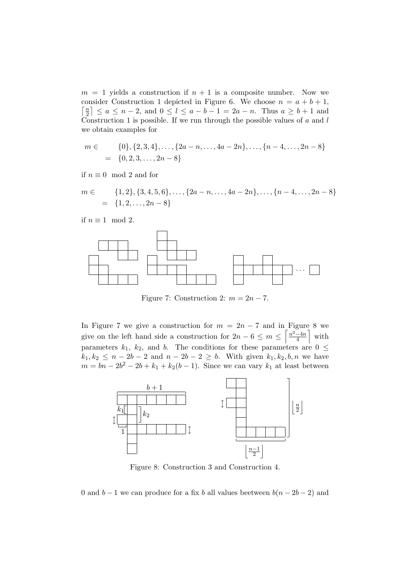$m = 1$  yields a construction if  $n + 1$  is a composite number. Now we consider Construction 1 depicted in Figure 6. We choose  $n = a + b + 1$ ,  $\lceil \frac{n}{2} \rceil$  $\left\lfloor \frac{n}{2} \right\rfloor \le a \le n-2$ , and  $0 \le l \le a-b-1 = 2a-n$ . Thus  $a \ge b+1$  and Construction 1 is possible. If we run through the possible values of  $a$  and  $l$ we obtain examples for

$$
m \in \{0\}, \{2, 3, 4\}, \dots, \{2a - n, \dots, 4a - 2n\}, \dots, \{n - 4, \dots, 2n - 8\}
$$

$$
= \{0, 2, 3, \dots, 2n - 8\}
$$

if  $n \equiv 0 \mod 2$  and for

$$
m \in \{1, 2\}, \{3, 4, 5, 6\}, \dots, \{2a - n, \dots, 4a - 2n\}, \dots, \{n - 4, \dots, 2n - 8\}
$$

$$
= \{1, 2, \dots, 2n - 8\}
$$

if  $n \equiv 1 \mod 2$ .



Figure 7: Construction 2:  $m = 2n - 7$ .

In Figure 7 we give a construction for  $m = 2n - 7$  and in Figure 8 we give on the left hand side a construction for  $2n-6 \leq m \leq \left\lceil \frac{n^2-4n}{4} \right\rceil$  $\frac{-4n}{4}$  with parameters  $k_1$ ,  $k_2$ , and b. The conditions for these parameters are  $0 \leq$  $k_1, k_2 \leq n - 2b - 2$  and  $n - 2b - 2 \geq b$ . With given  $k_1, k_2, b, n$  we have  $m = bn - 2b^2 - 2b + k_1 + k_2(b-1)$ . Since we can vary  $k_1$  at least between



Figure 8: Construction 3 and Construction 4.

0 and  $b-1$  we can produce for a fix b all values beetween  $b(n-2b-2)$  and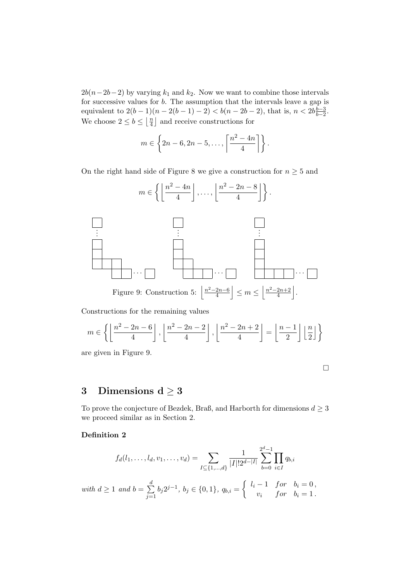$2b(n-2b-2)$  by varying  $k_1$  and  $k_2$ . Now we want to combine those intervals for successive values for b. The assumption that the intervals leave a gap is equivalent to  $2(b-1)(n-2(b-1)-2) < b(n-2b-2)$ , that is,  $n < 2b\frac{b-3}{b-2}$  $rac{b-3}{b-2}$ . We choose  $2 \leq b \leq \left\lfloor \frac{n}{4} \right\rfloor$  $\frac{n}{4}$  and receive constructions for

$$
m \in \left\{2n-6, 2n-5, \ldots, \left\lceil \frac{n^2-4n}{4} \right\rceil \right\}.
$$

On the right hand side of Figure 8 we give a construction for  $n \geq 5$  and



Constructions for the remaining values

$$
m \in \left\{ \left\lfloor \frac{n^2 - 2n - 6}{4} \right\rfloor, \left\lfloor \frac{n^2 - 2n - 2}{4} \right\rfloor, \left\lfloor \frac{n^2 - 2n + 2}{4} \right\rfloor = \left\lfloor \frac{n - 1}{2} \right\rfloor \left\lfloor \frac{n}{2} \right\rfloor \right\}
$$

are given in Figure 9.

## 3 Dimensions  $d \geq 3$

To prove the conjecture of Bezdek, Braß, and Harborth for dimensions  $d \geq 3$ we proceed similar as in Section 2.

#### Definition 2

$$
f_d(l_1,\ldots,l_d,v_1,\ldots,v_d) = \sum_{I \subseteq \{1,\ldots,d\}} \frac{1}{|I|!2^{d-|I|}} \sum_{b=0}^{2^d-1} \prod_{i \in I} q_{b,i}
$$

with 
$$
d \ge 1
$$
 and  $b = \sum_{j=1}^{d} b_j 2^{j-1}$ ,  $b_j \in \{0, 1\}$ ,  $q_{b,i} = \begin{cases} l_i - 1 & \text{for} \quad b_i = 0, \\ v_i & \text{for} \quad b_i = 1. \end{cases}$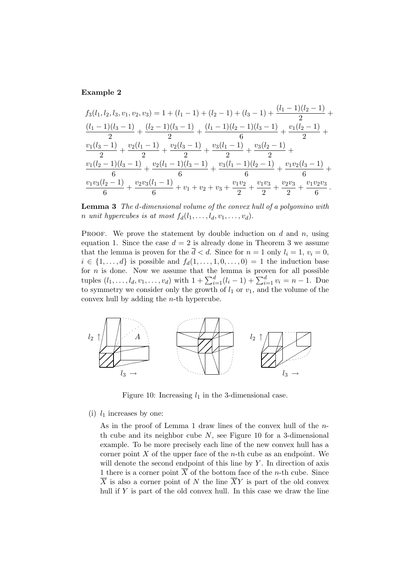#### Example 2

$$
f_3(l_1, l_2, l_3, v_1, v_2, v_3) = 1 + (l_1 - 1) + (l_2 - 1) + (l_3 - 1) + \frac{(l_1 - 1)(l_2 - 1)}{2} + \frac{(l_1 - 1)(l_3 - 1)}{2} + \frac{(l_2 - 1)(l_3 - 1)}{2} + \frac{(l_1 - 1)(l_2 - 1)(l_3 - 1)}{6} + \frac{v_1(l_2 - 1)}{2} + \frac{v_2(l_3 - 1)}{2} + \frac{v_2(l_3 - 1)}{2} + \frac{v_3(l_1 - 1)}{2} + \frac{v_3(l_2 - 1)}{2} + \frac{v_1(l_2 - 1)(l_3 - 1)}{6} + \frac{v_2(l_1 - 1)(l_3 - 1)}{6} + \frac{v_3(l_1 - 1)(l_2 - 1)}{6} + \frac{v_1v_2(l_3 - 1)}{6} + \frac{v_1v_3(l_2 - 1)}{6} + \frac{v_2v_3(l_1 - 1)}{6} + v_1 + v_2 + v_3 + \frac{v_1v_2}{2} + \frac{v_1v_3}{2} + \frac{v_2v_3}{2} + \frac{v_1v_2v_3}{6}.
$$

Lemma 3 The d-dimensional volume of the convex hull of a polyomino with n unit hypercubes is at most  $f_d(l_1, \ldots, l_d, v_1, \ldots, v_d)$ .

**PROOF.** We prove the statement by double induction on d and n, using equation 1. Since the case  $d = 2$  is already done in Theorem 3 we assume that the lemma is proven for the  $\overline{d} < d$ . Since for  $n = 1$  only  $l_i = 1$ ,  $v_i = 0$ ,  $i \in \{1, \ldots, d\}$  is possible and  $f_d(1, \ldots, 1, 0, \ldots, 0) = 1$  the induction base for  $n$  is done. Now we assume that the lemma is proven for all possible tuples  $(l_1, \ldots, l_d, v_1, \ldots, v_d)$  with  $1 + \sum_{i=1}^d (l_i - 1) + \sum_{i=1}^d v_i = n - 1$ . Due to symmetry we consider only the growth of  $l_1$  or  $v_1$ , and the volume of the convex hull by adding the n-th hypercube.



Figure 10: Increasing  $l_1$  in the 3-dimensional case.

(i)  $l_1$  increases by one:

As in the proof of Lemma 1 draw lines of the convex hull of the nth cube and its neighbor cube  $N$ , see Figure 10 for a 3-dimensional example. To be more precisely each line of the new convex hull has a corner point  $X$  of the upper face of the *n*-th cube as an endpoint. We will denote the second endpoint of this line by  $Y$ . In direction of axis 1 there is a corner point  $\overline{X}$  of the bottom face of the *n*-th cube. Since  $\overline{X}$  is also a corner point of N the line  $\overline{X}Y$  is part of the old convex hull if  $Y$  is part of the old convex hull. In this case we draw the line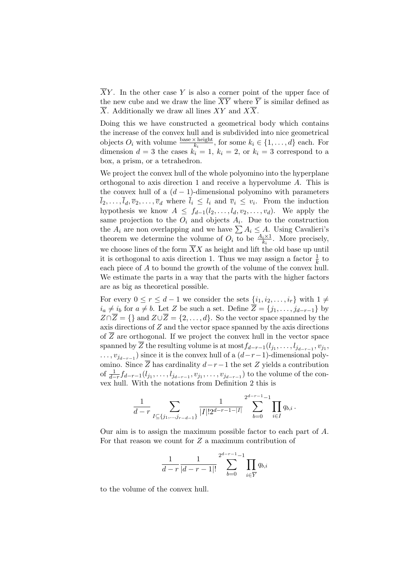$\overline{X}Y$ . In the other case Y is also a corner point of the upper face of the new cube and we draw the line  $\overline{XY}$  where  $\overline{Y}$  is similar defined as  $\overline{X}$ . Additionally we draw all lines XY and  $X\overline{X}$ .

Doing this we have constructed a geometrical body which contains the increase of the convex hull and is subdivided into nice geometrical objects  $O_i$  with volume  $\frac{\text{base} \times \text{height}}{k_i}$ , for some  $k_i \in \{1, ..., d\}$  each. For dimension  $d = 3$  the cases  $k_i = 1, k_i = 2$ , or  $k_i = 3$  correspond to a box, a prism, or a tetrahedron.

We project the convex hull of the whole polyomino into the hyperplane orthogonal to axis direction 1 and receive a hypervolume A. This is the convex hull of a  $(d-1)$ -dimensional polyomino with parameters  $l_2, \ldots, l_d, \overline{v}_2, \ldots, \overline{v}_d$  where  $l_i \leq l_i$  and  $\overline{v}_i \leq v_i$ . From the induction hypothesis we know  $A \leq f_{d-1}(l_2, \ldots, l_d, v_2, \ldots, v_d)$ . We apply the same projection to the  $O_i$  and objects  $A_i$ . Due to the construction the  $A_i$  are non overlapping and we have  $\sum A_i \leq A$ . Using Cavalieri's theorem we determine the volume of  $O_i$  to be  $\frac{A_i \times 1}{k_i}$ . More precisely, we choose lines of the form  $\overline{X}X$  as height and lift the old base up until it is orthogonal to axis direction 1. Thus we may assign a factor  $\frac{1}{k}$  to each piece of A to bound the growth of the volume of the convex hull. We estimate the parts in a way that the parts with the higher factors are as big as theoretical possible.

For every  $0 \le r \le d-1$  we consider the sets  $\{i_1, i_2, \ldots, i_r\}$  with  $1 \ne$  $i_a \neq i_b$  for  $a \neq b$ . Let Z be such a set. Define  $\overline{Z} = \{j_1, \ldots, j_{d-r-1}\}$  by  $Z \cap \overline{Z} = \{\}$  and  $Z \cup \overline{Z} = \{2, ..., d\}$ . So the vector space spanned by the axis directions of Z and the vector space spanned by the axis directions of  $\overline{Z}$  are orthogonal. If we project the convex hull in the vector space spanned by Z the resulting volume is at  $\text{most}_{d-r-1}(l_{j_1},\ldots,l_{j_{d-r-1}},v_{j_1},$  $\dots, v_{j_{d-r-1}}$ ) since it is the convex hull of a  $(d-r-1)$ -dimensional polyomino. Since  $\overline{Z}$  has cardinality  $d-r-1$  the set  $Z$  yields a contribution of  $\frac{1}{d-r} f_{d-r-1}(l_{j_1}, \ldots, l_{j_{d-r-1}}, v_{j_1}, \ldots, v_{j_{d-r-1}})$  to the volume of the convex hull. With the notations from Definition 2 this is

$$
\frac{1}{d-r} \sum_{I \subseteq \{j_1,\ldots,j_{r-d-1}\}} \frac{1}{|I|! 2^{d-r-1}-|I|} \sum_{b=0}^{2^{d-r-1}-1} \prod_{i \in I} q_{b,i}.
$$

Our aim is to assign the maximum possible factor to each part of A. For that reason we count for  $Z$  a maximum contribution of

$$
\frac{1}{d-r} \frac{1}{|d-r-1|!} \sum_{b=0}^{2^{d-r-1}-1} \prod_{i \in \overline{Y}} q_{b,i}
$$

to the volume of the convex hull.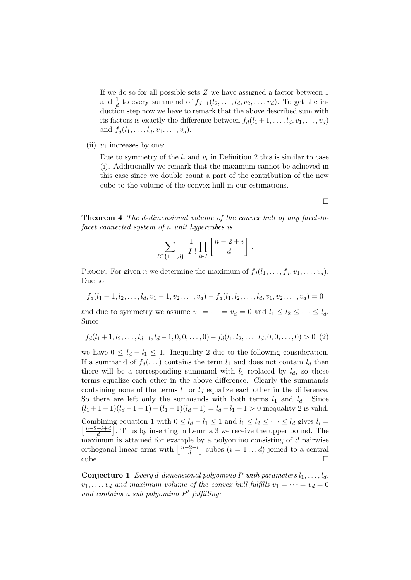If we do so for all possible sets Z we have assigned a factor between 1 and  $\frac{1}{d}$  to every summand of  $f_{d-1}(l_2, \ldots, l_d, v_2, \ldots, v_d)$ . To get the induction step now we have to remark that the above described sum with its factors is exactly the difference between  $f_d(l_1 + 1, \ldots, l_d, v_1, \ldots, v_d)$ and  $f_d(l_1, \ldots, l_d, v_1, \ldots, v_d)$ .

(ii)  $v_1$  increases by one:

Due to symmetry of the  $l_i$  and  $v_i$  in Definition 2 this is similar to case (i). Additionally we remark that the maximum cannot be achieved in this case since we double count a part of the contribution of the new cube to the volume of the convex hull in our estimations.

Theorem 4 The d-dimensional volume of the convex hull of any facet-tofacet connected system of n unit hypercubes is

$$
\sum_{I \subseteq \{1,\ldots,d\}} \frac{1}{|I|!} \prod_{i \in I} \left\lfloor \frac{n-2+i}{d} \right\rfloor.
$$

PROOF. For given n we determine the maximum of  $f_d(l_1, \ldots, f_d, v_1, \ldots, v_d)$ . Due to

$$
f_d(l_1+1, l_2, \ldots, l_d, v_1-1, v_2, \ldots, v_d) - f_d(l_1, l_2, \ldots, l_d, v_1, v_2, \ldots, v_d) = 0
$$

and due to symmetry we assume  $v_1 = \cdots = v_d = 0$  and  $l_1 \leq l_2 \leq \cdots \leq l_d$ . Since

$$
f_d(l_1+1, l_2, \dots, l_{d-1}, l_d-1, 0, 0, \dots, 0) - f_d(l_1, l_2, \dots, l_d, 0, 0, \dots, 0) > 0
$$
 (2)

we have  $0 \leq l_d - l_1 \leq 1$ . Inequality 2 due to the following consideration. If a summand of  $f_d(\ldots)$  contains the term  $l_1$  and does not contain  $l_d$  then there will be a corresponding summand with  $l_1$  replaced by  $l_d$ , so those terms equalize each other in the above difference. Clearly the summands containing none of the terms  $l_1$  or  $l_d$  equalize each other in the difference. So there are left only the summands with both terms  $l_1$  and  $l_d$ . Since  $(l_1 + 1 - 1)(l_d - 1 - 1) - (l_1 - 1)(l_d - 1) = l_d - l_1 - 1 > 0$  inequality 2 is valid. Combining equation 1 with  $0 \leq l_d - l_1 \leq 1$  and  $l_1 \leq l_2 \leq \cdots \leq l_d$  gives  $l_i =$  $\frac{n-2+i+d}{d}$  $\frac{+i+d}{d}$ . Thus by inserting in Lemma 3 we receive the upper bound. The maximum is attained for example by a polyomino consisting of d pairwise orthogonal linear arms with  $\frac{n-2+i}{d}$  $\frac{2+i}{d}$  cubes  $(i = 1...d)$  joined to a central  $\Box$ 

**Conjecture 1** Every d-dimensional polyomino P with parameters  $l_1, \ldots, l_d$ ,  $v_1, \ldots, v_d$  and maximum volume of the convex hull fulfills  $v_1 = \cdots = v_d = 0$ and contains a sub polyomino  $P'$  fulfilling:

 $\Box$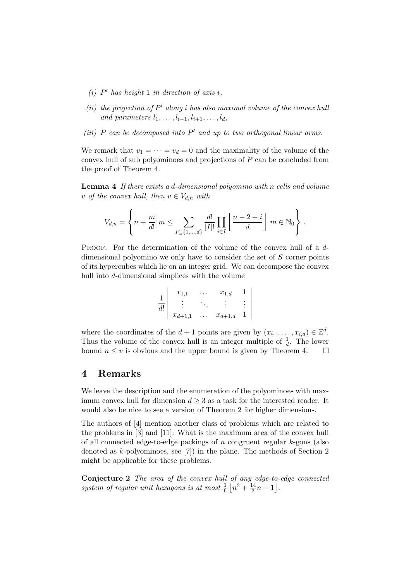- (i)  $P'$  has height 1 in direction of axis i,
- (ii) the projection of  $P'$  along i has also maximal volume of the convex hull and parameters  $l_1, \ldots, l_{i-1}, l_{i+1}, \ldots, l_d$ ,
- (iii)  $P$  can be decomposed into  $P'$  and up to two orthogonal linear arms.

We remark that  $v_1 = \cdots = v_d = 0$  and the maximality of the volume of the convex hull of sub polyominoes and projections of P can be concluded from the proof of Theorem 4.

Lemma 4 If there exists a d-dimensional polyomino with n cells and volume v of the convex hull, then  $v \in V_{d,n}$  with

$$
V_{d,n} = \left\{ n + \frac{m}{d!} \middle| m \le \sum_{I \subseteq \{1,\dots,d\}} \frac{d!}{|I|!} \prod_{i \in I} \left\lfloor \frac{n-2+i}{d} \right\rfloor m \in \mathbb{N}_0 \right\}.
$$

PROOF. For the determination of the volume of the convex hull of a ddimensional polyomino we only have to consider the set of S corner points of its hypercubes which lie on an integer grid. We can decompose the convex hull into d-dimensional simplices with the volume

| $\frac{1}{\sqrt{2}}$ | $x_{1,1}$   |          | $x_{1,d}$   |                                            |  |
|----------------------|-------------|----------|-------------|--------------------------------------------|--|
| d!                   |             |          |             | $\begin{array}{c} \vdots \\ 1 \end{array}$ |  |
|                      | $x_{d+1,1}$ | $\cdots$ | $x_{d+1,d}$ |                                            |  |

where the coordinates of the  $d+1$  points are given by  $(x_{i,1},\ldots,x_{i,d})\in\mathbb{Z}^d$ . Thus the volume of the convex hull is an integer multiple of  $\frac{1}{d}$ . The lower bound  $n \leq v$  is obvious and the upper bound is given by Theorem 4.  $\Box$ 

## 4 Remarks

We leave the description and the enumeration of the polyominoes with maximum convex hull for dimension  $d \geq 3$  as a task for the interested reader. It would also be nice to see a version of Theorem 2 for higher dimensions.

The authors of [4] mention another class of problems which are related to the problems in [3] and [11]: What is the maximum area of the convex hull of all connected edge-to-edge packings of  $n$  congruent regular  $k$ -gons (also denoted as k-polyominoes, see [7]) in the plane. The methods of Section 2 might be applicable for these problems.

Conjecture 2 The area of the convex hull of any edge-to-edge connected system of regular unit hexagons is at most  $\frac{1}{6} \left\lfloor n^2 + \frac{14}{3} \right\rfloor$  $\frac{14}{3}n+1$ .